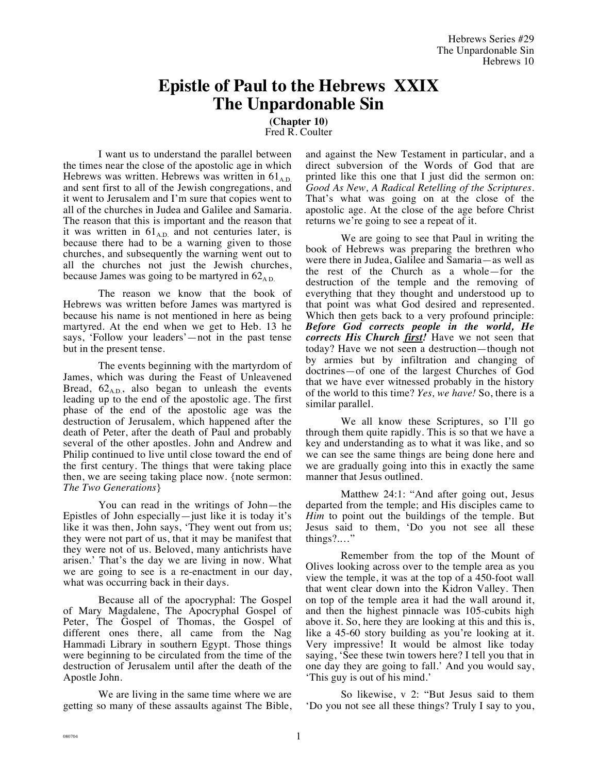## **Epistle of Paul to the Hebrews XXIX The Unpardonable Sin**

**(Chapter 10)** Fred R. Coulter

I want us to understand the parallel between the times near the close of the apostolic age in which Hebrews was written. Hebrews was written in  $61_{A,D}$ . and sent first to all of the Jewish congregations, and it went to Jerusalem and I'm sure that copies went to all of the churches in Judea and Galilee and Samaria. The reason that this is important and the reason that it was written in  $61_{A,D}$  and not centuries later, is because there had to be a warning given to those churches, and subsequently the warning went out to all the churches not just the Jewish churches, because James was going to be martyred in  $62_{AD}$ 

The reason we know that the book of Hebrews was written before James was martyred is because his name is not mentioned in here as being martyred. At the end when we get to Heb. 13 he says, 'Follow your leaders'—not in the past tense but in the present tense.

The events beginning with the martyrdom of James, which was during the Feast of Unleavened Bread,  $62_{AD}$ , also began to unleash the events leading up to the end of the apostolic age. The first phase of the end of the apostolic age was the destruction of Jerusalem, which happened after the death of Peter, after the death of Paul and probably several of the other apostles. John and Andrew and Philip continued to live until close toward the end of the first century. The things that were taking place then, we are seeing taking place now. {note sermon: *The Two Generations*}

You can read in the writings of John—the Epistles of John especially—just like it is today it's like it was then, John says, 'They went out from us; they were not part of us, that it may be manifest that they were not of us. Beloved, many antichrists have arisen.' That's the day we are living in now. What we are going to see is a re-enactment in our day, what was occurring back in their days.

Because all of the apocryphal: The Gospel of Mary Magdalene, The Apocryphal Gospel of Peter, The Gospel of Thomas, the Gospel of different ones there, all came from the Nag Hammadi Library in southern Egypt. Those things were beginning to be circulated from the time of the destruction of Jerusalem until after the death of the Apostle John.

We are living in the same time where we are getting so many of these assaults against The Bible, and against the New Testament in particular, and a direct subversion of the Words of God that are printed like this one that I just did the sermon on: *Good As New, A Radical Retelling of the Scriptures*. That's what was going on at the close of the apostolic age. At the close of the age before Christ returns we're going to see a repeat of it.

We are going to see that Paul in writing the book of Hebrews was preparing the brethren who were there in Judea, Galilee and Samaria—as well as the rest of the Church as a whole—for the destruction of the temple and the removing of everything that they thought and understood up to that point was what God desired and represented. Which then gets back to a very profound principle: *Before God corrects people in the world, He corrects His Church first!* Have we not seen that today? Have we not seen a destruction—though not by armies but by infiltration and changing of doctrines—of one of the largest Churches of God that we have ever witnessed probably in the history of the world to this time? *Yes, we have!* So, there is a similar parallel.

We all know these Scriptures, so I'll go through them quite rapidly. This is so that we have a key and understanding as to what it was like, and so we can see the same things are being done here and we are gradually going into this in exactly the same manner that Jesus outlined.

Matthew 24:1: "And after going out, Jesus departed from the temple; and His disciples came to *Him* to point out the buildings of the temple. But Jesus said to them, 'Do you not see all these things?.…"

Remember from the top of the Mount of Olives looking across over to the temple area as you view the temple, it was at the top of a 450-foot wall that went clear down into the Kidron Valley. Then on top of the temple area it had the wall around it, and then the highest pinnacle was 105-cubits high above it. So, here they are looking at this and this is, like a 45-60 story building as you're looking at it. Very impressive! It would be almost like today saying, 'See these twin towers here? I tell you that in one day they are going to fall.' And you would say, 'This guy is out of his mind.'

So likewise, v 2: "But Jesus said to them 'Do you not see all these things? Truly I say to you,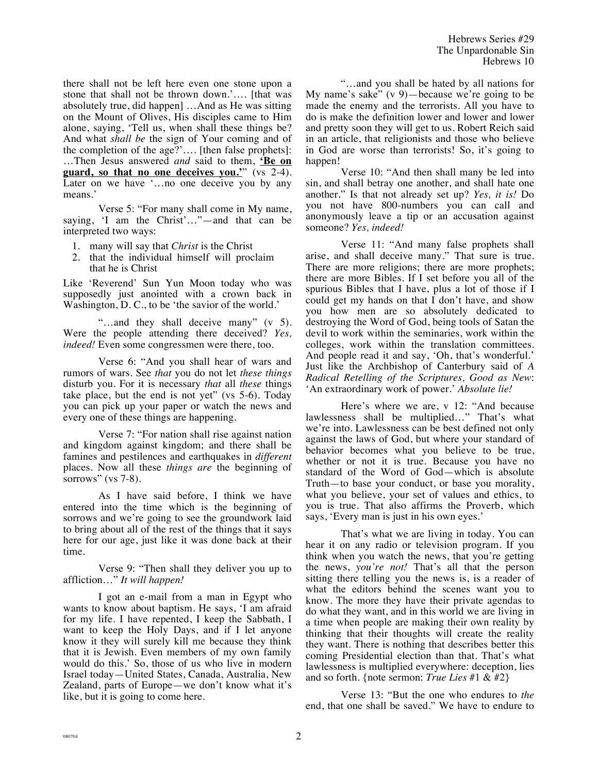there shall not be left here even one stone upon a stone that shall not be thrown down.'…. [that was absolutely true, did happen] …And as He was sitting on the Mount of Olives, His disciples came to Him alone, saying, 'Tell us, when shall these things be? And what *shall be* the sign of Your coming and of the completion of the age?'…. [then false prophets]: …Then Jesus answered *and* said to them, **'Be on guard, so that no one deceives you.'**" (vs 2-4). Later on we have '…no one deceive you by any means.'

Verse 5: "For many shall come in My name, saying, 'I am the Christ'…"—and that can be interpreted two ways:

- 1. many will say that *Christ* is the Christ
- 2. that the individual himself will proclaim that he is Christ

Like 'Reverend' Sun Yun Moon today who was supposedly just anointed with a crown back in Washington, D. C., to be 'the savior of the world.'

"…and they shall deceive many" (v 5). Were the people attending there deceived? *Yes, indeed!* Even some congressmen were there, too.

Verse 6: "And you shall hear of wars and rumors of wars. See *that* you do not let *these things* disturb you. For it is necessary *that* all *these* things take place, but the end is not yet" (vs 5-6). Today you can pick up your paper or watch the news and every one of these things are happening.

Verse 7: "For nation shall rise against nation and kingdom against kingdom; and there shall be famines and pestilences and earthquakes in *different* places. Now all these *things are* the beginning of sorrows" (vs 7-8).

As I have said before, I think we have entered into the time which is the beginning of sorrows and we're going to see the groundwork laid to bring about all of the rest of the things that it says here for our age, just like it was done back at their time.

Verse 9: "Then shall they deliver you up to affliction…" *It will happen!*

I got an e-mail from a man in Egypt who wants to know about baptism. He says, 'I am afraid for my life. I have repented, I keep the Sabbath, I want to keep the Holy Days, and if I let anyone know it they will surely kill me because they think that it is Jewish. Even members of my own family would do this.' So, those of us who live in modern Israel today—United States, Canada, Australia, New Zealand, parts of Europe—we don't know what it's like, but it is going to come here.

"…and you shall be hated by all nations for My name's sake" (v 9)—because we're going to be made the enemy and the terrorists. All you have to do is make the definition lower and lower and lower and pretty soon they will get to us. Robert Reich said in an article, that religionists and those who believe in God are worse than terrorists! So, it's going to happen!

Verse 10: "And then shall many be led into sin, and shall betray one another, and shall hate one another." Is that not already set up? *Yes, it is!* Do you not have 800-numbers you can call and anonymously leave a tip or an accusation against someone? *Yes, indeed!*

Verse 11: "And many false prophets shall arise, and shall deceive many." That sure is true. There are more religions; there are more prophets; there are more Bibles. If I set before you all of the spurious Bibles that I have, plus a lot of those if I could get my hands on that  $\overline{I}$  don't have, and show you how men are so absolutely dedicated to destroying the Word of God, being tools of Satan the devil to work within the seminaries, work within the colleges, work within the translation committees. And people read it and say, 'Oh, that's wonderful.' Just like the Archbishop of Canterbury said of *A Radical Retelling of the Scriptures, Good as New*: 'An extraordinary work of power.' *Absolute lie!*

Here's where we are, v 12: "And because lawlessness shall be multiplied…" That's what we're into. Lawlessness can be best defined not only against the laws of God, but where your standard of behavior becomes what you believe to be true, whether or not it is true. Because you have no standard of the Word of God—which is absolute Truth—to base your conduct, or base you morality, what you believe, your set of values and ethics, to you is true. That also affirms the Proverb, which says, 'Every man is just in his own eyes.'

That's what we are living in today. You can hear it on any radio or television program. If you think when you watch the news, that you're getting the news, *you're not!* That's all that the person sitting there telling you the news is, is a reader of what the editors behind the scenes want you to know. The more they have their private agendas to do what they want, and in this world we are living in a time when people are making their own reality by thinking that their thoughts will create the reality they want. There is nothing that describes better this coming Presidential election than that. That's what lawlessness is multiplied everywhere: deception, lies and so forth. {note sermon: *True Lies* #1 & #2}

Verse 13: "But the one who endures to *the* end, that one shall be saved." We have to endure to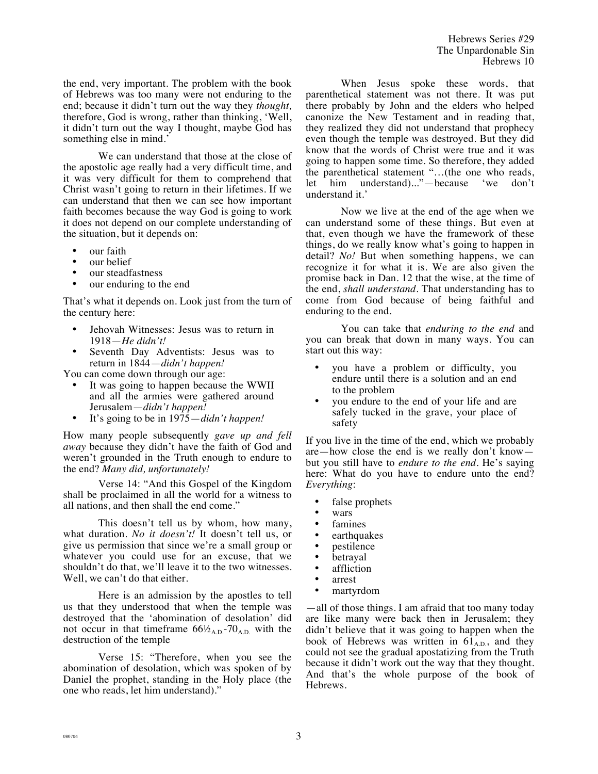the end, very important. The problem with the book of Hebrews was too many were not enduring to the end; because it didn't turn out the way they *thought,* therefore, God is wrong, rather than thinking, 'Well, it didn't turn out the way I thought, maybe God has something else in mind.'

We can understand that those at the close of the apostolic age really had a very difficult time, and it was very difficult for them to comprehend that Christ wasn't going to return in their lifetimes. If we can understand that then we can see how important faith becomes because the way God is going to work it does not depend on our complete understanding of the situation, but it depends on:

- our faith
- our belief
- our steadfastness
- our enduring to the end

That's what it depends on. Look just from the turn of the century here:

- Jehovah Witnesses: Jesus was to return in 1918—*He didn't!*
- Seventh Day Adventists: Jesus was to return in 1844—*didn't happen!*

You can come down through our age:

- It was going to happen because the WWII and all the armies were gathered around Jerusalem—*didn't happen!*
- It's going to be in 1975—*didn't happen!*

How many people subsequently *gave up and fell away* because they didn't have the faith of God and weren't grounded in the Truth enough to endure to the end? *Many did, unfortunately!* 

Verse 14: "And this Gospel of the Kingdom shall be proclaimed in all the world for a witness to all nations, and then shall the end come."

This doesn't tell us by whom, how many, what duration. *No it doesn't!* It doesn't tell us, or give us permission that since we're a small group or whatever you could use for an excuse, that we shouldn't do that, we'll leave it to the two witnesses. Well, we can't do that either.

Here is an admission by the apostles to tell us that they understood that when the temple was destroyed that the 'abomination of desolation' did not occur in that timeframe  $66\frac{\lambda}{\text{AD}}$ -70<sub>A.D.</sub> with the destruction of the temple

Verse 15: "Therefore, when you see the abomination of desolation, which was spoken of by Daniel the prophet, standing in the Holy place (the one who reads, let him understand)."

When Jesus spoke these words, that parenthetical statement was not there. It was put there probably by John and the elders who helped canonize the New Testament and in reading that, they realized they did not understand that prophecy even though the temple was destroyed. But they did know that the words of Christ were true and it was going to happen some time. So therefore, they added the parenthetical statement "…(the one who reads, let him understand)..."—because 'we don't understand it.'

Now we live at the end of the age when we can understand some of these things. But even at that, even though we have the framework of these things, do we really know what's going to happen in detail? *No!* But when something happens, we can recognize it for what it is. We are also given the promise back in Dan. 12 that the wise, at the time of the end, *shall understand*. That understanding has to come from God because of being faithful and enduring to the end.

You can take that *enduring to the end* and you can break that down in many ways. You can start out this way:

- you have a problem or difficulty, you endure until there is a solution and an end to the problem
- you endure to the end of your life and are safely tucked in the grave, your place of safety

If you live in the time of the end, which we probably are—how close the end is we really don't know but you still have to *endure to the end.* He's saying here: What do you have to endure unto the end? *Everything*:

- false prophets
- wars
- famines
- earthquakes<br>• pestilence
- pestilence<br>• hetraval
- betrayal<br>• affliction
- affliction
- arrest
- martyrdom

—all of those things. I am afraid that too many today are like many were back then in Jerusalem; they didn't believe that it was going to happen when the book of Hebrews was written in  $61_{AD}$ , and they could not see the gradual apostatizing from the Truth because it didn't work out the way that they thought. And that's the whole purpose of the book of Hebrews.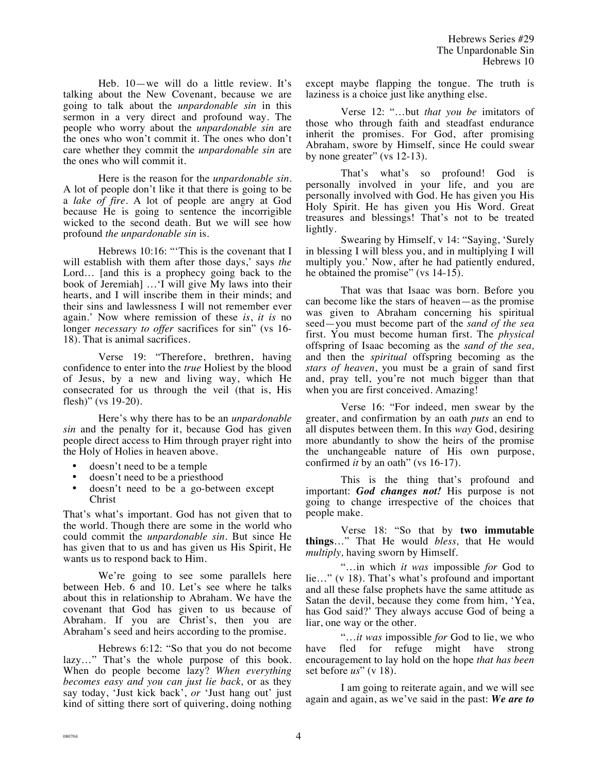Heb. 10—we will do a little review. It's talking about the New Covenant, because we are going to talk about the *unpardonable sin* in this sermon in a very direct and profound way. The people who worry about the *unpardonable sin* are the ones who won't commit it. The ones who don't care whether they commit the *unpardonable sin* are the ones who will commit it.

Here is the reason for the *unpardonable sin*. A lot of people don't like it that there is going to be a *lake of fire*. A lot of people are angry at God because He is going to sentence the incorrigible wicked to the second death. But we will see how profound *the unpardonable sin* is.

Hebrews 10:16: "This is the covenant that I will establish with them after those days,' says *the* Lord… [and this is a prophecy going back to the book of Jeremiah] …'I will give My laws into their hearts, and I will inscribe them in their minds; and their sins and lawlessness I will not remember ever again.' Now where remission of these *is*, *it is* no longer *necessary to offer* sacrifices for sin" (vs 16- 18). That is animal sacrifices.

Verse 19: "Therefore, brethren, having confidence to enter into the *true* Holiest by the blood of Jesus, by a new and living way, which He consecrated for us through the veil (that is, His flesh)" (vs 19-20).

Here's why there has to be an *unpardonable sin* and the penalty for it, because God has given people direct access to Him through prayer right into the Holy of Holies in heaven above.

- doesn't need to be a temple
- doesn't need to be a priesthood
- doesn't need to be a go-between except Christ

That's what's important. God has not given that to the world. Though there are some in the world who could commit the *unpardonable sin*. But since He has given that to us and has given us His Spirit, He wants us to respond back to Him.

We're going to see some parallels here between Heb. 6 and 10. Let's see where he talks about this in relationship to Abraham. We have the covenant that God has given to us because of Abraham. If you are Christ's, then you are Abraham's seed and heirs according to the promise.

Hebrews 6:12: "So that you do not become lazy…" That's the whole purpose of this book. When do people become lazy? *When everything becomes easy and you can just lie back,* or as they say today, 'Just kick back', *or* 'Just hang out' just kind of sitting there sort of quivering, doing nothing except maybe flapping the tongue. The truth is laziness is a choice just like anything else.

Verse 12: "…but *that you be* imitators of those who through faith and steadfast endurance inherit the promises. For God, after promising Abraham, swore by Himself, since He could swear by none greater" (vs 12-13).

That's what's so profound! God is personally involved in your life, and you are personally involved with God. He has given you His Holy Spirit. He has given you His Word. Great treasures and blessings! That's not to be treated lightly.

Swearing by Himself, v 14: "Saying, 'Surely in blessing I will bless you, and in multiplying I will multiply you.' Now, after he had patiently endured, he obtained the promise" (vs 14-15).

That was that Isaac was born. Before you can become like the stars of heaven—as the promise was given to Abraham concerning his spiritual seed—you must become part of the *sand of the sea* first. You must become human first. The *physical*  offspring of Isaac becoming as the *sand of the sea,* and then the *spiritual* offspring becoming as the *stars of heaven*, you must be a grain of sand first and, pray tell, you're not much bigger than that when you are first conceived. Amazing!

Verse 16: "For indeed, men swear by the greater, and confirmation by an oath *puts* an end to all disputes between them. In this *way* God, desiring more abundantly to show the heirs of the promise the unchangeable nature of His own purpose, confirmed *it* by an oath" (vs 16-17).

This is the thing that's profound and important: *God changes not!* His purpose is not going to change irrespective of the choices that people make.

Verse 18: "So that by **two immutable things**…" That He would *bless,* that He would *multiply,* having sworn by Himself.

"…in which *it was* impossible *for* God to lie…" (v 18). That's what's profound and important and all these false prophets have the same attitude as Satan the devil, because they come from him, 'Yea, has God said?' They always accuse God of being a liar, one way or the other.

"…*it was* impossible *for* God to lie, we who have fled for refuge might have strong encouragement to lay hold on the hope *that has been* set before *us*" (v 18).

I am going to reiterate again, and we will see again and again, as we've said in the past: *We are to*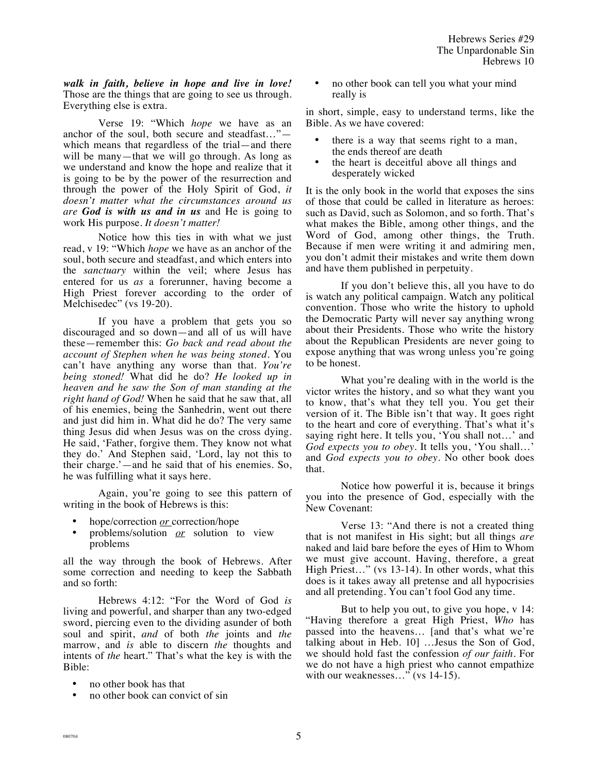*walk in faith, believe in hope and live in love!* Those are the things that are going to see us through. Everything else is extra.

Verse 19: "Which *hope* we have as an anchor of the soul, both secure and steadfast…" which means that regardless of the trial—and there will be many—that we will go through. As long as we understand and know the hope and realize that it is going to be by the power of the resurrection and through the power of the Holy Spirit of God, *it doesn't matter what the circumstances around us are God is with us and in us* and He is going to work His purpose. *It doesn't matter!* 

Notice how this ties in with what we just read, v 19: "Which *hope* we have as an anchor of the soul, both secure and steadfast, and which enters into the *sanctuary* within the veil; where Jesus has entered for us *as* a forerunner, having become a High Priest forever according to the order of Melchisedec" (vs 19-20).

If you have a problem that gets you so discouraged and so down—and all of us will have these—remember this: *Go back and read about the account of Stephen when he was being stoned.* You can't have anything any worse than that. *You're being stoned!* What did he do? *He looked up in heaven and he saw the Son of man standing at the right hand of God!* When he said that he saw that, all of his enemies, being the Sanhedrin, went out there and just did him in. What did he do? The very same thing Jesus did when Jesus was on the cross dying. He said, 'Father, forgive them. They know not what they do.' And Stephen said, 'Lord, lay not this to their charge.'—and he said that of his enemies. So, he was fulfilling what it says here.

Again, you're going to see this pattern of writing in the book of Hebrews is this:

- hope/correction *or* correction/hope
- problems/solution *or* solution to view problems

all the way through the book of Hebrews. After some correction and needing to keep the Sabbath and so forth:

Hebrews 4:12: "For the Word of God *is* living and powerful, and sharper than any two-edged sword, piercing even to the dividing asunder of both soul and spirit, *and* of both *the* joints and *the* marrow, and *is* able to discern *the* thoughts and intents of *the* heart." That's what the key is with the Bible:

- no other book has that
- no other book can convict of sin

• no other book can tell you what your mind really is

in short, simple, easy to understand terms, like the Bible. As we have covered:

- there is a way that seems right to a man, the ends thereof are death
- the heart is deceitful above all things and desperately wicked

It is the only book in the world that exposes the sins of those that could be called in literature as heroes: such as David, such as Solomon, and so forth. That's what makes the Bible, among other things, and the Word of God, among other things, the Truth. Because if men were writing it and admiring men, you don't admit their mistakes and write them down and have them published in perpetuity.

If you don't believe this, all you have to do is watch any political campaign. Watch any political convention. Those who write the history to uphold the Democratic Party will never say anything wrong about their Presidents. Those who write the history about the Republican Presidents are never going to expose anything that was wrong unless you're going to be honest.

What you're dealing with in the world is the victor writes the history, and so what they want you to know, that's what they tell you. You get their version of it. The Bible isn't that way. It goes right to the heart and core of everything. That's what it's saying right here. It tells you, 'You shall not…' and *God expects you to obey*. It tells you, 'You shall…' and *God expects you to obey*. No other book does that.

Notice how powerful it is, because it brings you into the presence of God, especially with the New Covenant:

Verse 13: "And there is not a created thing that is not manifest in His sight; but all things *are* naked and laid bare before the eyes of Him to Whom we must give account. Having, therefore, a great High Priest…" (vs 13-14). In other words, what this does is it takes away all pretense and all hypocrisies and all pretending. You can't fool God any time.

But to help you out, to give you hope, v 14: "Having therefore a great High Priest, *Who* has passed into the heavens… [and that's what we're talking about in Heb. 10] …Jesus the Son of God, we should hold fast the confession *of our faith*. For we do not have a high priest who cannot empathize with our weaknesses..." (vs 14-15).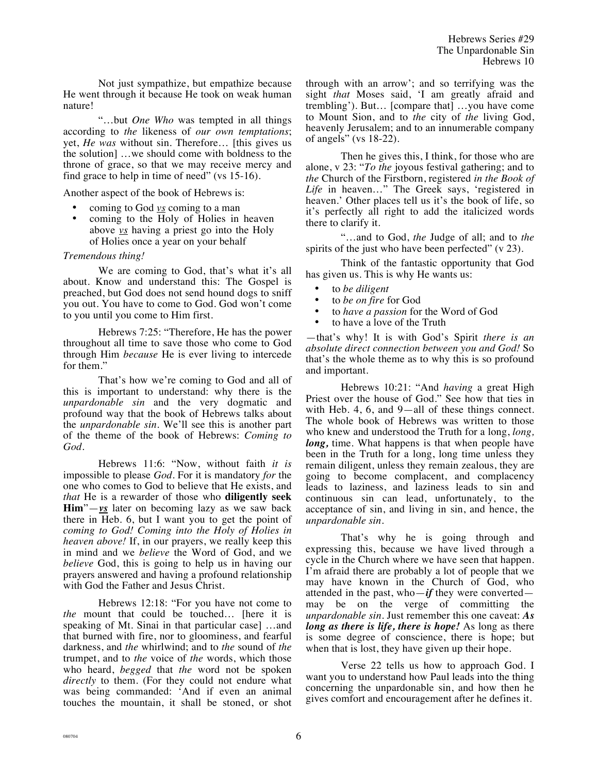Not just sympathize, but empathize because He went through it because He took on weak human nature!

"…but *One Who* was tempted in all things according to *the* likeness of *our own temptations*; yet, *He was* without sin. Therefore… [this gives us the solution] …we should come with boldness to the throne of grace, so that we may receive mercy and find grace to help in time of need" (vs 15-16).

Another aspect of the book of Hebrews is:

- coming to God *vs* coming to a man
- coming to the Holy of Holies in heaven above *vs* having a priest go into the Holy of Holies once a year on your behalf

## *Tremendous thing!*

We are coming to God, that's what it's all about. Know and understand this: The Gospel is preached, but God does not send hound dogs to sniff you out. You have to come to God. God won't come to you until you come to Him first.

Hebrews 7:25: "Therefore, He has the power throughout all time to save those who come to God through Him *because* He is ever living to intercede for them."

That's how we're coming to God and all of this is important to understand: why there is the *unpardonable sin* and the very dogmatic and profound way that the book of Hebrews talks about the *unpardonable sin*. We'll see this is another part of the theme of the book of Hebrews: *Coming to God.*

Hebrews 11:6: "Now, without faith *it is* impossible to please *God*. For it is mandatory *for* the one who comes to God to believe that He exists, and *that* He is a rewarder of those who **diligently seek Him**"—*vs* later on becoming lazy as we saw back there in Heb. 6, but I want you to get the point of *coming to God! Coming into the Holy of Holies in heaven above!* If, in our prayers, we really keep this in mind and we *believe* the Word of God, and we *believe* God, this is going to help us in having our prayers answered and having a profound relationship with God the Father and Jesus Christ.

Hebrews 12:18: "For you have not come to *the* mount that could be touched… [here it is speaking of Mt. Sinai in that particular case] …and that burned with fire, nor to gloominess, and fearful darkness, and *the* whirlwind; and to *the* sound of *the* trumpet, and to *the* voice of *the* words, which those who heard, *begged* that *the* word not be spoken *directly* to them. (For they could not endure what was being commanded: 'And if even an animal touches the mountain, it shall be stoned, or shot through with an arrow'; and so terrifying was the sight *that* Moses said, 'I am greatly afraid and trembling'). But… [compare that] …you have come to Mount Sion, and to *the* city of *the* living God, heavenly Jerusalem; and to an innumerable company of angels" (vs 18-22).

Then he gives this, I think, for those who are alone, v 23: "*To the* joyous festival gathering; and to *the* Church of the Firstborn, registered *in the Book of*  Life in heaven..." The Greek says, 'registered in heaven.' Other places tell us it's the book of life, so it's perfectly all right to add the italicized words there to clarify it.

"…and to God, *the* Judge of all; and to *the* spirits of the just who have been perfected" (v 23).

Think of the fantastic opportunity that God has given us. This is why He wants us:

- to *be diligent*
- to *be on fire* for God
- to *have a passion* for the Word of God
- to have a love of the Truth

—that's why! It is with God's Spirit *there is an absolute direct connection between you and God!* So that's the whole theme as to why this is so profound and important.

Hebrews 10:21: "And *having* a great High Priest over the house of God." See how that ties in with Heb. 4, 6, and 9—all of these things connect. The whole book of Hebrews was written to those who knew and understood the Truth for a long, *long, long*, time. What happens is that when people have been in the Truth for a long, long time unless they remain diligent, unless they remain zealous, they are going to become complacent, and complacency leads to laziness, and laziness leads to sin and continuous sin can lead, unfortunately, to the acceptance of sin, and living in sin, and hence, the *unpardonable sin*.

That's why he is going through and expressing this, because we have lived through a cycle in the Church where we have seen that happen. I'm afraid there are probably a lot of people that we may have known in the Church of God, who attended in the past, who—*if* they were converted may be on the verge of committing the *unpardonable sin*. Just remember this one caveat: *As long as there is life, there is hope!* As long as there is some degree of conscience, there is hope; but when that is lost, they have given up their hope.

Verse 22 tells us how to approach God. I want you to understand how Paul leads into the thing concerning the unpardonable sin, and how then he gives comfort and encouragement after he defines it.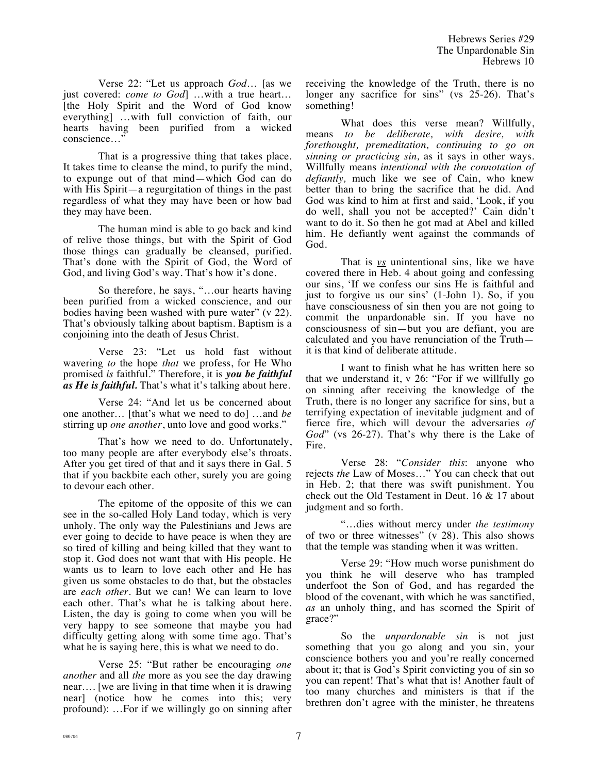Verse 22: "Let us approach *God*… [as we just covered: *come to God*] …with a true heart… [the Holy Spirit and the Word of God know everything] …with full conviction of faith, our hearts having been purified from a wicked conscience…"

That is a progressive thing that takes place. It takes time to cleanse the mind, to purify the mind, to expunge out of that mind—which God can do with His Spirit—a regurgitation of things in the past regardless of what they may have been or how bad they may have been.

The human mind is able to go back and kind of relive those things, but with the Spirit of God those things can gradually be cleansed, purified. That's done with the Spirit of God, the Word of God, and living God's way. That's how it's done.

So therefore, he says, "…our hearts having been purified from a wicked conscience, and our bodies having been washed with pure water" (v 22). That's obviously talking about baptism. Baptism is a conjoining into the death of Jesus Christ.

Verse 23: "Let us hold fast without wavering *to* the hope *that* we profess, for He Who promised *is* faithful." Therefore, it is *you be faithful as He is faithful.* That's what it's talking about here.

Verse 24: "And let us be concerned about one another… [that's what we need to do] …and *be* stirring up *one another*, unto love and good works."

That's how we need to do. Unfortunately, too many people are after everybody else's throats. After you get tired of that and it says there in Gal. 5 that if you backbite each other, surely you are going to devour each other.

The epitome of the opposite of this we can see in the so-called Holy Land today, which is very unholy. The only way the Palestinians and Jews are ever going to decide to have peace is when they are so tired of killing and being killed that they want to stop it. God does not want that with His people. He wants us to learn to love each other and He has given us some obstacles to do that, but the obstacles are *each other*. But we can! We can learn to love each other. That's what he is talking about here. Listen, the day is going to come when you will be very happy to see someone that maybe you had difficulty getting along with some time ago. That's what he is saying here, this is what we need to do.

Verse 25: "But rather be encouraging *one another* and all *the* more as you see the day drawing near…. [we are living in that time when it is drawing near] (notice how he comes into this; very profound): …For if we willingly go on sinning after receiving the knowledge of the Truth, there is no longer any sacrifice for sins" (vs 25-26). That's something!

What does this verse mean? Willfully, means *to be deliberate, with desire, with forethought, premeditation, continuing to go on sinning or practicing sin,* as it says in other ways. Willfully means *intentional with the connotation of defiantly,* much like we see of Cain, who knew better than to bring the sacrifice that he did. And God was kind to him at first and said, 'Look, if you do well, shall you not be accepted?' Cain didn't want to do it. So then he got mad at Abel and killed him. He defiantly went against the commands of God.

That is *vs* unintentional sins, like we have covered there in Heb. 4 about going and confessing our sins, 'If we confess our sins He is faithful and just to forgive us our sins' (1-John 1). So, if you have consciousness of sin then you are not going to commit the unpardonable sin. If you have no consciousness of sin—but you are defiant, you are calculated and you have renunciation of the Truth it is that kind of deliberate attitude.

I want to finish what he has written here so that we understand it, v 26: "For if we willfully go on sinning after receiving the knowledge of the Truth, there is no longer any sacrifice for sins, but a terrifying expectation of inevitable judgment and of fierce fire, which will devour the adversaries *of God*" (vs 26-27). That's why there is the Lake of Fire.

Verse 28: "*Consider this*: anyone who rejects *the* Law of Moses…" You can check that out in Heb. 2; that there was swift punishment. You check out the Old Testament in Deut. 16 & 17 about judgment and so forth.

"…dies without mercy under *the testimony* of two or three witnesses" (v 28). This also shows that the temple was standing when it was written.

Verse 29: "How much worse punishment do you think he will deserve who has trampled underfoot the Son of God, and has regarded the blood of the covenant, with which he was sanctified, *as* an unholy thing, and has scorned the Spirit of grace?"

So the *unpardonable sin* is not just something that you go along and you sin, your conscience bothers you and you're really concerned about it; that is God's Spirit convicting you of sin so you can repent! That's what that is! Another fault of too many churches and ministers is that if the brethren don't agree with the minister, he threatens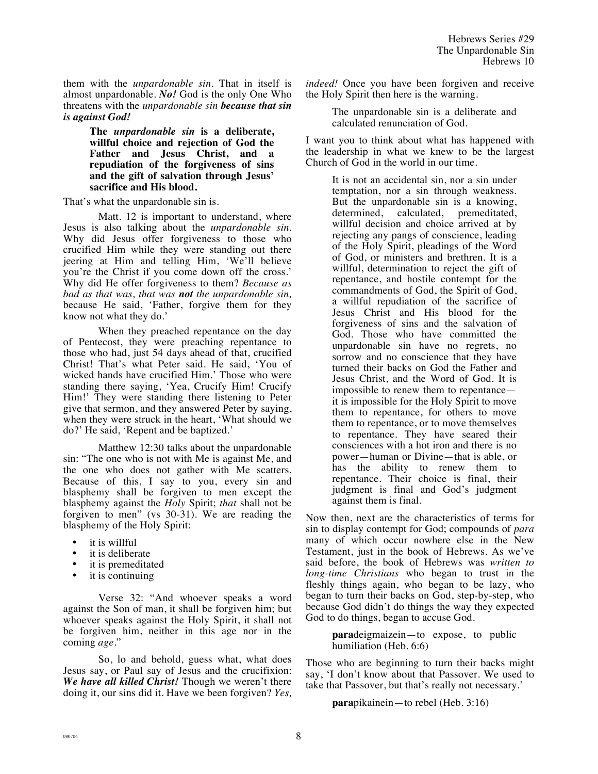them with the *unpardonable sin*. That in itself is almost unpardonable. *No!* God is the only One Who threatens with the *unpardonable sin because that sin is against God!*

> **The** *unpardonable sin* **is a deliberate, willful choice and rejection of God the Father and Jesus Christ, and a repudiation of the forgiveness of sins and the gift of salvation through Jesus' sacrifice and His blood.**

That's what the unpardonable sin is.

Matt. 12 is important to understand, where Jesus is also talking about the *unpardonable sin*. Why did Jesus offer forgiveness to those who crucified Him while they were standing out there jeering at Him and telling Him, 'We'll believe you're the Christ if you come down off the cross.' Why did He offer forgiveness to them? *Because as bad as that was, that was not the unpardonable sin,*  because He said, 'Father, forgive them for they know not what they do.'

When they preached repentance on the day of Pentecost, they were preaching repentance to those who had, just 54 days ahead of that, crucified Christ! That's what Peter said. He said, 'You of wicked hands have crucified Him.' Those who were standing there saying, 'Yea, Crucify Him! Crucify Him!' They were standing there listening to Peter give that sermon, and they answered Peter by saying, when they were struck in the heart, 'What should we do?' He said, 'Repent and be baptized.'

Matthew 12:30 talks about the unpardonable sin: "The one who is not with Me is against Me, and the one who does not gather with Me scatters. Because of this, I say to you, every sin and blasphemy shall be forgiven to men except the blasphemy against the *Holy* Spirit; *that* shall not be forgiven to men" (vs 30-31). We are reading the blasphemy of the Holy Spirit:

- it is willful
- it is deliberate
- it is premeditated
- it is continuing

Verse 32: "And whoever speaks a word against the Son of man, it shall be forgiven him; but whoever speaks against the Holy Spirit, it shall not be forgiven him, neither in this age nor in the coming *age.*"

So, lo and behold, guess what, what does Jesus say, or Paul say of Jesus and the crucifixion: *We have all killed Christ!* Though we weren't there doing it, our sins did it. Have we been forgiven? *Yes,* 

*indeed!* Once you have been forgiven and receive the Holy Spirit then here is the warning.

> The unpardonable sin is a deliberate and calculated renunciation of God.

I want you to think about what has happened with the leadership in what we knew to be the largest Church of God in the world in our time.

> It is not an accidental sin, nor a sin under temptation, nor a sin through weakness. But the unpardonable sin is a knowing, determined, calculated, premeditated, willful decision and choice arrived at by rejecting any pangs of conscience, leading of the Holy Spirit, pleadings of the Word of God, or ministers and brethren. It is a willful, determination to reject the gift of repentance, and hostile contempt for the commandments of God, the Spirit of God, a willful repudiation of the sacrifice of Jesus Christ and His blood for the forgiveness of sins and the salvation of God. Those who have committed the unpardonable sin have no regrets, no sorrow and no conscience that they have turned their backs on God the Father and Jesus Christ, and the Word of God. It is impossible to renew them to repentance it is impossible for the Holy Spirit to move them to repentance, for others to move them to repentance, or to move themselves to repentance. They have seared their consciences with a hot iron and there is no power—human or Divine—that is able, or has the ability to renew them to repentance. Their choice is final, their judgment is final and God's judgment against them is final.

Now then, next are the characteristics of terms for sin to display contempt for God; compounds of *para* many of which occur nowhere else in the New Testament, just in the book of Hebrews. As we've said before, the book of Hebrews was *written to long-time Christians* who began to trust in the fleshly things again, who began to be lazy, who began to turn their backs on God, step-by-step, who because God didn't do things the way they expected God to do things, began to accuse God.

> **para**deigmaizein—to expose, to public humiliation (Heb. 6:6)

Those who are beginning to turn their backs might say, 'I don't know about that Passover. We used to take that Passover, but that's really not necessary.'

**para**pikainein—to rebel (Heb. 3:16)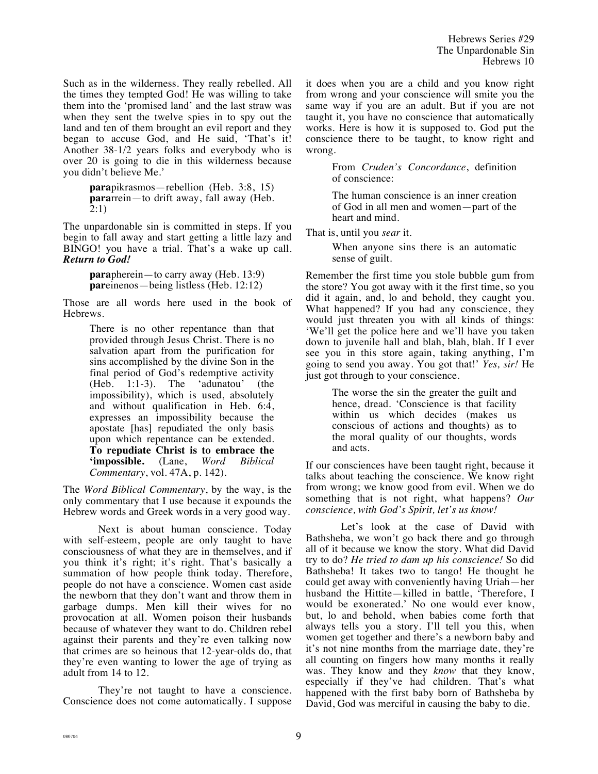Such as in the wilderness. They really rebelled. All the times they tempted God! He was willing to take them into the 'promised land' and the last straw was when they sent the twelve spies in to spy out the land and ten of them brought an evil report and they began to accuse God, and He said, 'That's it! Another 38-1/2 years folks and everybody who is over 20 is going to die in this wilderness because you didn't believe Me.'

> **para**pikrasmos—rebellion (Heb. 3:8, 15) **para**rrein—to drift away, fall away (Heb.  $2:1)$

The unpardonable sin is committed in steps. If you begin to fall away and start getting a little lazy and BINGO! you have a trial. That's a wake up call. *Return to God!*

> **para**pherein—to carry away (Heb. 13:9) **par**einenos—being listless (Heb. 12:12)

Those are all words here used in the book of Hebrews.

> There is no other repentance than that provided through Jesus Christ. There is no salvation apart from the purification for sins accomplished by the divine Son in the final period of God's redemptive activity (Heb. 1:1-3). The 'adunatou' (the impossibility), which is used, absolutely and without qualification in Heb. 6:4, expresses an impossibility because the apostate [has] repudiated the only basis upon which repentance can be extended. **To repudiate Christ is to embrace the 'impossible.** (Lane, *Word Biblical Commentary*, vol. 47A, p. 142).

The *Word Biblical Commentary*, by the way, is the only commentary that I use because it expounds the Hebrew words and Greek words in a very good way.

Next is about human conscience. Today with self-esteem, people are only taught to have consciousness of what they are in themselves, and if you think it's right; it's right. That's basically a summation of how people think today. Therefore, people do not have a conscience. Women cast aside the newborn that they don't want and throw them in garbage dumps. Men kill their wives for no provocation at all. Women poison their husbands because of whatever they want to do. Children rebel against their parents and they're even talking now that crimes are so heinous that 12-year-olds do, that they're even wanting to lower the age of trying as adult from 14 to 12.

They're not taught to have a conscience. Conscience does not come automatically. I suppose it does when you are a child and you know right from wrong and your conscience will smite you the same way if you are an adult. But if you are not taught it, you have no conscience that automatically works. Here is how it is supposed to. God put the conscience there to be taught, to know right and wrong.

> From *Cruden's Concordance*, definition of conscience:

> The human conscience is an inner creation of God in all men and women—part of the heart and mind.

That is, until you *sear* it.

When anyone sins there is an automatic sense of guilt.

Remember the first time you stole bubble gum from the store? You got away with it the first time, so you did it again, and, lo and behold, they caught you. What happened? If you had any conscience, they would just threaten you with all kinds of things: 'We'll get the police here and we'll have you taken down to juvenile hall and blah, blah, blah. If I ever see you in this store again, taking anything, I'm going to send you away. You got that!' *Yes, sir!* He just got through to your conscience.

> The worse the sin the greater the guilt and hence, dread. 'Conscience is that facility within us which decides (makes us conscious of actions and thoughts) as to the moral quality of our thoughts, words and acts.

If our consciences have been taught right, because it talks about teaching the conscience. We know right from wrong; we know good from evil. When we do something that is not right, what happens? *Our conscience, with God's Spirit, let's us know!*

Let's look at the case of David with Bathsheba, we won't go back there and go through all of it because we know the story. What did David try to do? *He tried to dam up his conscience!* So did Bathsheba! It takes two to tango! He thought he could get away with conveniently having Uriah—her husband the Hittite—killed in battle, 'Therefore, I would be exonerated.' No one would ever know, but, lo and behold, when babies come forth that always tells you a story. I'll tell you this, when women get together and there's a newborn baby and it's not nine months from the marriage date, they're all counting on fingers how many months it really was. They know and they *know* that they know, especially if they've had children. That's what happened with the first baby born of Bathsheba by David, God was merciful in causing the baby to die.